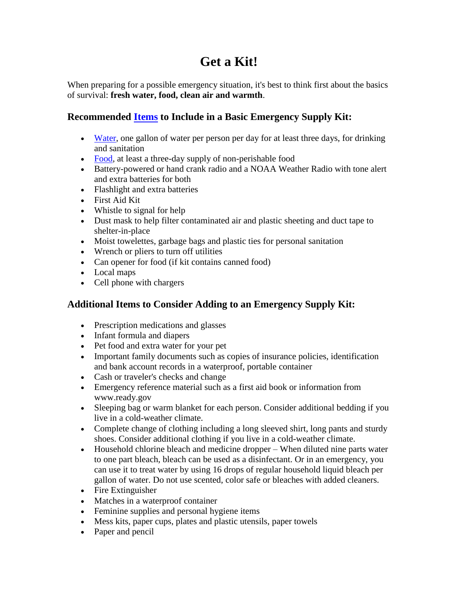## **Get a Kit!**

When preparing for a possible emergency situation, it's best to think first about the basics of survival: **fresh water, food, clean air and warmth**.

## **Recommended [Items](http://www.fema.gov/media-library/assets/documents/90354) to Include in a Basic Emergency Supply Kit:**

- [Water,](https://www.ready.gov/water) one gallon of water per person per day for at least three days, for drinking and sanitation
- [Food,](https://www.ready.gov/food) at least a three-day supply of non-perishable food
- Battery-powered or hand crank radio and a NOAA Weather Radio with tone alert and extra batteries for both
- Flashlight and extra batteries
- First Aid Kit
- Whistle to signal for help
- Dust mask to help filter contaminated air and plastic sheeting and duct tape to shelter-in-place
- Moist towelettes, garbage bags and plastic ties for personal sanitation
- Wrench or pliers to turn off utilities
- Can opener for food (if kit contains canned food)
- Local maps
- Cell phone with chargers

## **Additional Items to Consider Adding to an Emergency Supply Kit:**

- Prescription medications and glasses
- Infant formula and diapers
- Pet food and extra water for your pet
- Important family documents such as copies of insurance policies, identification and bank account records in a waterproof, portable container
- Cash or traveler's checks and change
- Emergency reference material such as a first aid book or information from www.ready.gov
- Sleeping bag or warm blanket for each person. Consider additional bedding if you live in a cold-weather climate.
- Complete change of clothing including a long sleeved shirt, long pants and sturdy shoes. Consider additional clothing if you live in a cold-weather climate.
- Household chlorine bleach and medicine dropper When diluted nine parts water to one part bleach, bleach can be used as a disinfectant. Or in an emergency, you can use it to treat water by using 16 drops of regular household liquid bleach per gallon of water. Do not use scented, color safe or bleaches with added cleaners.
- Fire Extinguisher
- Matches in a waterproof container
- Feminine supplies and personal hygiene items
- Mess kits, paper cups, plates and plastic utensils, paper towels
- Paper and pencil